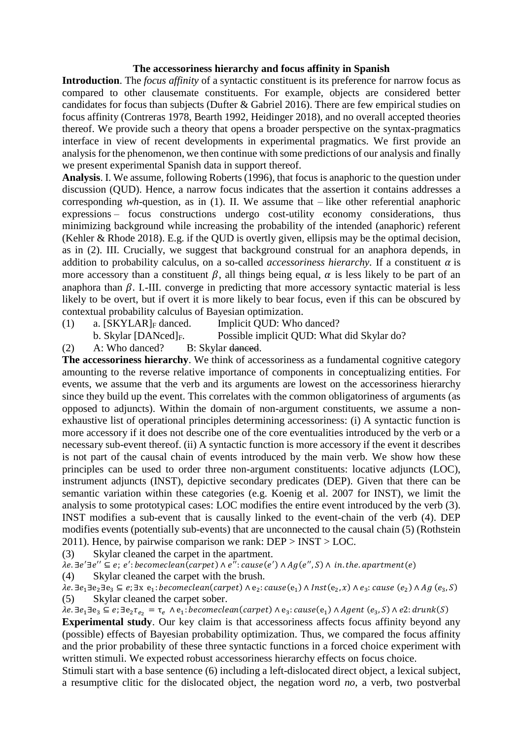## **The accessoriness hierarchy and focus affinity in Spanish**

**Introduction**. The *focus affinity* of a syntactic constituent is its preference for narrow focus as compared to other clausemate constituents. For example, objects are considered better candidates for focus than subjects (Dufter & Gabriel 2016). There are few empirical studies on focus affinity (Contreras 1978, Bearth 1992, Heidinger 2018), and no overall accepted theories thereof. We provide such a theory that opens a broader perspective on the syntax-pragmatics interface in view of recent developments in experimental pragmatics. We first provide an analysis for the phenomenon, we then continue with some predictions of our analysis and finally we present experimental Spanish data in support thereof.

**Analysis**. I. We assume, following Roberts (1996), that focus is anaphoric to the question under discussion (QUD). Hence, a narrow focus indicates that the assertion it contains addresses a corresponding *wh*-question, as in (1). II. We assume that – like other referential anaphoric expressions – focus constructions undergo cost-utility economy considerations, thus minimizing background while increasing the probability of the intended (anaphoric) referent (Kehler & Rhode 2018). E.g. if the QUD is overtly given, ellipsis may be the optimal decision, as in (2). III. Crucially, we suggest that background construal for an anaphora depends, in addition to probability calculus, on a so-called *accessoriness hierarchy*. If a constituent  $\alpha$  is more accessory than a constituent  $\beta$ , all things being equal,  $\alpha$  is less likely to be part of an anaphora than  $\beta$ . I.-III. converge in predicting that more accessory syntactic material is less likely to be overt, but if overt it is more likely to bear focus, even if this can be obscured by contextual probability calculus of Bayesian optimization.

- -

(1) a.  $[SKYLAR]_F$  danced. Implicit QUD: Who danced?

b. Skylar [DANced]<sub>F</sub>. Possible implicit QUD: What did Skylar do?

(2) A: Who danced? B: Skylar danced.

**The accessoriness hierarchy**. We think of accessoriness as a fundamental cognitive category amounting to the reverse relative importance of components in conceptualizing entities. For events, we assume that the verb and its arguments are lowest on the accessoriness hierarchy since they build up the event. This correlates with the common obligatoriness of arguments (as opposed to adjuncts). Within the domain of non-argument constituents, we assume a nonexhaustive list of operational principles determining accessoriness: (i) A syntactic function is more accessory if it does not describe one of the core eventualities introduced by the verb or a necessary sub-event thereof. (ii) A syntactic function is more accessory if the event it describes is not part of the causal chain of events introduced by the main verb*.* We show how these principles can be used to order three non-argument constituents: locative adjuncts (LOC), instrument adjuncts (INST), depictive secondary predicates (DEP). Given that there can be semantic variation within these categories (e.g. Koenig et al. 2007 for INST), we limit the analysis to some prototypical cases: LOC modifies the entire event introduced by the verb (3). INST modifies a sub-event that is causally linked to the event-chain of the verb (4). DEP modifies events (potentially sub-events) that are unconnected to the causal chain (5) (Rothstein 2011). Hence, by pairwise comparison we rank:  $DEF > INST > LOC$ .

(3) Skylar cleaned the carpet in the apartment.

 $\lambda e.\exists e'\exists e'' \subseteq e; e': becomeclean(carpet) \wedge e'': cause(e') \wedge Ag(e'', S) \wedge in. the. apartment(e)$ 

(4) Skylar cleaned the carpet with the brush.

 $\lambda$ e.∃e<sub>1</sub>∃e<sub>2</sub>∃e<sub>3</sub> ⊆ e;∃x e<sub>1</sub>: becomeclean(carpet) ∧ e<sub>2</sub>: cause(e<sub>1</sub>) ∧ Inst(e<sub>2</sub>, x) ∧ e<sub>3</sub>: cause (e<sub>2</sub>) ∧ Ag (e<sub>3</sub>, S) (5) Skylar cleaned the carpet sober.

 $\lambda$ e.∃e<sub>1</sub>∃e<sub>3</sub> ⊆ e;∃e<sub>2</sub>τ<sub>e2</sub> = τ<sub>e</sub> ∧e<sub>1</sub>: becomeclean(carpet) ∧e<sub>3</sub>: cause(e<sub>1</sub>) ∧Agent (e<sub>3</sub>,S) ∧e2: drunk(S)

**Experimental study**. Our key claim is that accessoriness affects focus affinity beyond any (possible) effects of Bayesian probability optimization. Thus, we compared the focus affinity and the prior probability of these three syntactic functions in a forced choice experiment with written stimuli. We expected robust accessoriness hierarchy effects on focus choice.

Stimuli start with a base sentence (6) including a left-dislocated direct object, a lexical subject, a resumptive clitic for the dislocated object, the negation word *no*, a verb, two postverbal